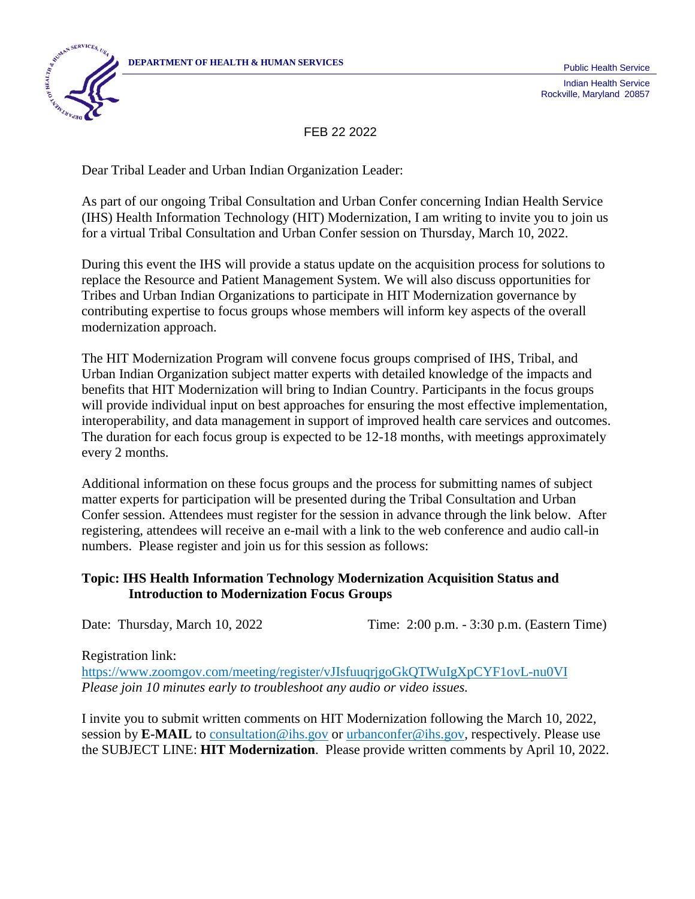

Rockville, Maryland 20857

FEB 22 2022

Dear Tribal Leader and Urban Indian Organization Leader:

As part of our ongoing Tribal Consultation and Urban Confer concerning Indian Health Service (IHS) Health Information Technology (HIT) Modernization, I am writing to invite you to join us for a virtual Tribal Consultation and Urban Confer session on Thursday, March 10, 2022.

During this event the IHS will provide a status update on the acquisition process for solutions to replace the Resource and Patient Management System. We will also discuss opportunities for Tribes and Urban Indian Organizations to participate in HIT Modernization governance by contributing expertise to focus groups whose members will inform key aspects of the overall modernization approach.

The HIT Modernization Program will convene focus groups comprised of IHS, Tribal, and Urban Indian Organization subject matter experts with detailed knowledge of the impacts and benefits that HIT Modernization will bring to Indian Country. Participants in the focus groups will provide individual input on best approaches for ensuring the most effective implementation, interoperability, and data management in support of improved health care services and outcomes. The duration for each focus group is expected to be 12-18 months, with meetings approximately every 2 months.

Additional information on these focus groups and the process for submitting names of subject matter experts for participation will be presented during the Tribal Consultation and Urban Confer session. Attendees must register for the session in advance through the link below. After registering, attendees will receive an e-mail with a link to the web conference and audio call-in numbers. Please register and join us for this session as follows:

## **Topic: IHS Health Information Technology Modernization Acquisition Status and Introduction to Modernization Focus Groups**

Date: Thursday, March 10, 2022 Time: 2:00 p.m. - 3:30 p.m. (Eastern Time)

Registration link:

<https://www.zoomgov.com/meeting/register/vJIsfuuqrjgoGkQTWuIgXpCYF1ovL-nu0VI> *Please join 10 minutes early to troubleshoot any audio or video issues.*

I invite you to submit written comments on HIT Modernization following the March 10, 2022, session by **E-MAIL** to [consultation@ihs.gov](mailto:consultation@ihs.gov) or [urbanconfer@ihs.gov,](mailto:urbanconfer@ihs.gov) respectively. Please use the SUBJECT LINE: **HIT Modernization**. Please provide written comments by April 10, 2022.